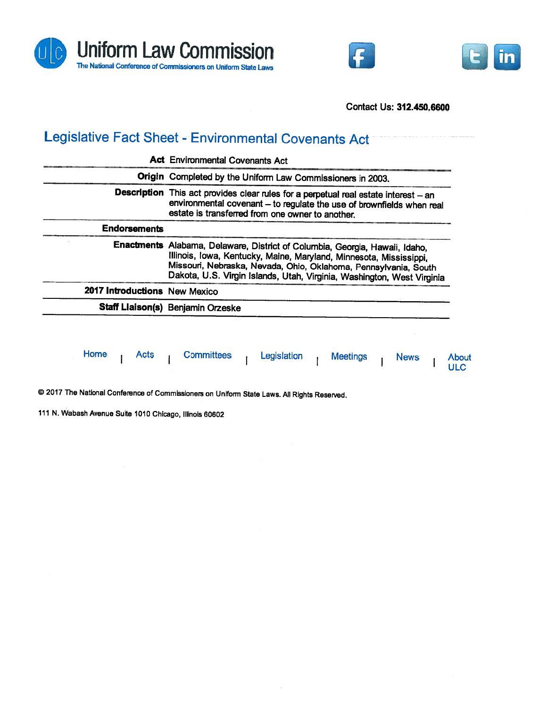





Contact Us: 312.450.6600

## Legislative Fact Sheet - Environmental Covenants Act

|                               | Origin Completed by the Uniform Law Commissioners in 2003.<br>Description This act provides clear rules for a perpetual real estate interest - an<br>environmental covenant - to regulate the use of brownfields when real<br>estate is transferred from one owner to another. |
|-------------------------------|--------------------------------------------------------------------------------------------------------------------------------------------------------------------------------------------------------------------------------------------------------------------------------|
| <b>Endorsements</b>           |                                                                                                                                                                                                                                                                                |
|                               | Enactments Alabama, Delaware, District of Columbia, Georgia, Hawaii, Idaho,                                                                                                                                                                                                    |
|                               | Illinois, Iowa, Kentucky, Maine, Maryland, Minnesota, Mississippi,<br>Missouri, Nebraska, Nevada, Ohio, Oklahoma, Pennsylvania, South<br>Dakota, U.S. Virgin Islands, Utah, Virginia, Washington, West Virginia                                                                |
| 2017 Introductions New Mexico |                                                                                                                                                                                                                                                                                |
|                               | Staff Liaison(s) Benjamin Orzeske                                                                                                                                                                                                                                              |
|                               |                                                                                                                                                                                                                                                                                |

© <sup>2017</sup> The National Conference of Commissioners on Uniform State Laws. All Rights Reserved.

<sup>111</sup> N. Wabash Avenue Suite <sup>1010</sup> Chicago, Illinois <sup>60602</sup>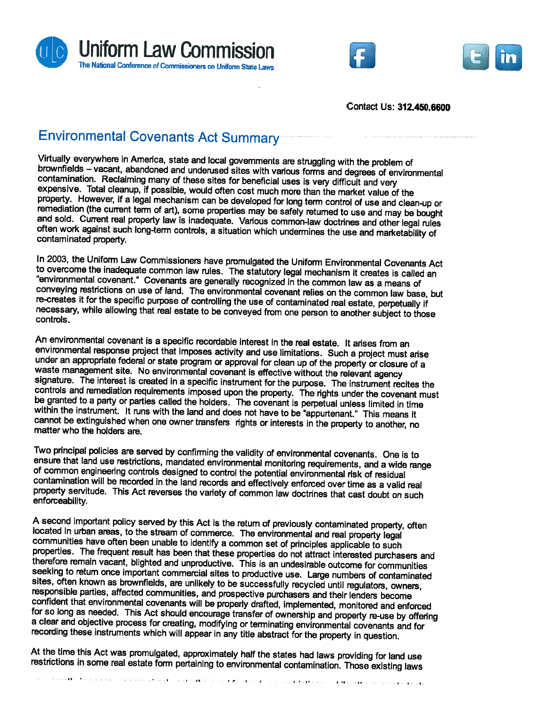





Contact Us: 312.450.6600

## Environmental-Covenants-Act Summary

Virtually everywhere in America, state and local governments are struggling with the problem of<br>brownfields – vacant, abandoned and underused sites with various forms and degrees of environmental contamination. Reclaiming many of these sites for beneficial uses is very difficult and very expensive. Total cleanup, if possible, would often cost much more than the market value of the property. However, if a legal mech remediation (the current term of art), some properties may be safely returned to use and may be bought<br>and sold. Current real property law is inadequate. Various common-law doctrines and other legal rules<br>often work agains

In 2003, the Uniform Law Commissioners have promulgated the Uniform Environmental Covenants Act<br>to overcome the inadequate common law rules. The statutory legal mechanism it creates is called an<br>"environmental covenant." C re-creates it for the specific purpose of controlling the use of contaminated real estate, perpetually if<br>necessary, while allowing that real estate to be conveyed from one person to another subject to those<br>controls.

An environmental covenant is a specific recordable interest in the real estate. It arises from an environmental response project that imposes activity and use limitations. Such a project must arise under an appropriate fed waste management site. No environmental covenant is effective without the relevant agency<br>signature. The interest is created in a specific instrument for the purpose. The instrument recites the<br>controls and remediation req

Two principal policies are served by confirming the validity of environmental covenants. One is to ensure that land use restrictions, mandated environmental monitoring requirements, and a wide range of common engineering controls designed to control the potential environmental risk of residual contamination will be recorded in the land records and effectively enforced over time as a valid real<br>property servitude. This Act reverses the variety of common law doctrines that cast doubt on such<br>enforceability.

A second important policy served by this Act is the return of previously contaminated property, often located in urban areas, to the stream of commerce. The environmental and real property legal communities have often been

At the time this Act was promulgated, approximately half the states had laws providing for land use restrictions in some real estate form pertaining to environmental contamination. Those existing laws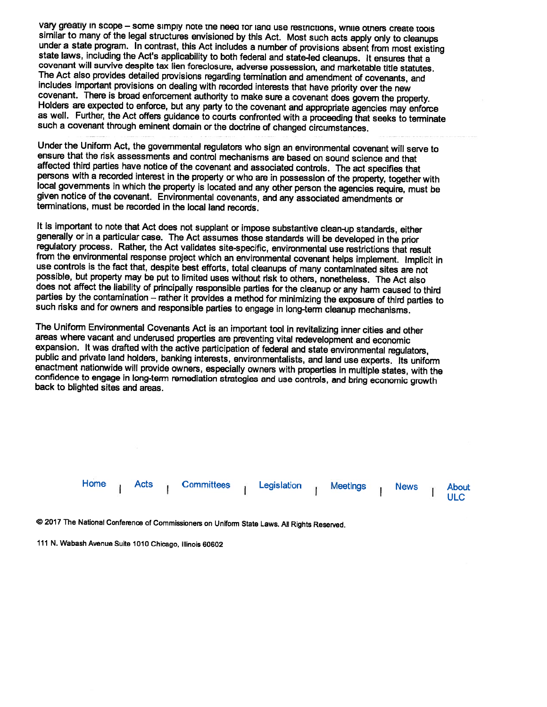vary greatly in scope – some simply note the need tor land use restrictions, while others create tools<br>similar to many of the legal structures envisioned by this Act. Most such acts apply only to cleanups<br>under a state pro as well. Further, the Act offers guidance to courts confronted with <sup>a</sup> proceeding that seeks to terminate such <sup>a</sup> covenant through eminent domain or the doctrine of changed circumstances.

Under the Uniform Act, the governmental regulators who sign an environmental covenant will serve to ensure that the risk assessments and control mechanisms are based on sound science and that affected third parties have notice of the covenant and associated controls. The act specifies that<br>persons with a recorded interest in the property or who are in possession of the property, together with local governments in which the property is located and any other person the agencies require, must be <sup>g</sup>iven notice of the covenant. Environmental covenants, and any associated amendments or terminations, must be recorded in the local land records.

It is important to note that Act does not supplant or impose substantive clean-up standards, either generally or in a particular case. The Act assumes those standards will be developed in the prior regulatory process. Rath from the environmental response project which an environmental covenant helps implement. Implicit in use controls is the fact that, despite best efforts, total cleanups of many contaminated sites are not possible, but property may be put to limited uses without risk to others, nonetheless. The Act also<br>does not affect the liability of principally responsible parties for the cleanup or any harm caused to third<br>parties by th

The Uniform Environmental Covenants Act is an important tool in revitalizing inner cities and other areas where vacant and underused properties are preventing vital redevelopment and economic expansion. It was drafted with the active participation of federal and state environmental regulators, public and private land holders, banking interests, environmentalists, and land use experts. Its uniform enactment nati



© <sup>2017</sup> The National Conference of Commissioners on Uniform State Laws. All Rights Reserved.

<sup>111</sup> N. Wabash Avenue Suite <sup>1010</sup> Chicago, Illinois <sup>60602</sup>